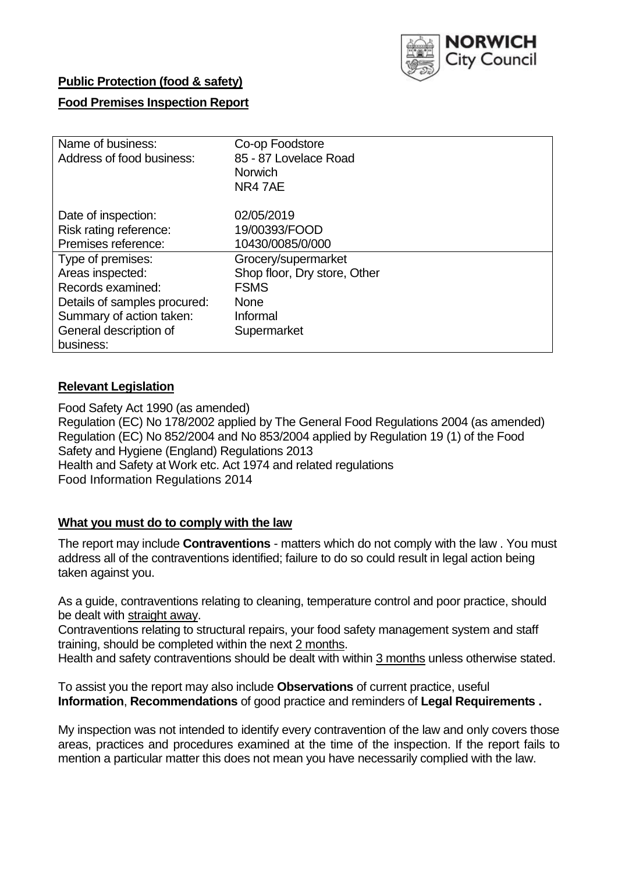

## **Public Protection (food & safety)**

## **Food Premises Inspection Report**

| Name of business:            | Co-op Foodstore              |
|------------------------------|------------------------------|
| Address of food business:    | 85 - 87 Lovelace Road        |
|                              | <b>Norwich</b>               |
|                              | NR47AE                       |
| Date of inspection:          | 02/05/2019                   |
| Risk rating reference:       | 19/00393/FOOD                |
| Premises reference:          | 10430/0085/0/000             |
| Type of premises:            | Grocery/supermarket          |
| Areas inspected:             | Shop floor, Dry store, Other |
| Records examined:            | <b>FSMS</b>                  |
| Details of samples procured: | <b>None</b>                  |
| Summary of action taken:     | Informal                     |
| General description of       | Supermarket                  |
| business:                    |                              |

## **Relevant Legislation**

Food Safety Act 1990 (as amended) Regulation (EC) No 178/2002 applied by The General Food Regulations 2004 (as amended) Regulation (EC) No 852/2004 and No 853/2004 applied by Regulation 19 (1) of the Food Safety and Hygiene (England) Regulations 2013 Health and Safety at Work etc. Act 1974 and related regulations Food Information Regulations 2014

#### **What you must do to comply with the law**

The report may include **Contraventions** - matters which do not comply with the law . You must address all of the contraventions identified; failure to do so could result in legal action being taken against you.

As a guide, contraventions relating to cleaning, temperature control and poor practice, should be dealt with straight away.

Contraventions relating to structural repairs, your food safety management system and staff training, should be completed within the next 2 months.

Health and safety contraventions should be dealt with within 3 months unless otherwise stated.

To assist you the report may also include **Observations** of current practice, useful **Information**, **Recommendations** of good practice and reminders of **Legal Requirements .**

My inspection was not intended to identify every contravention of the law and only covers those areas, practices and procedures examined at the time of the inspection. If the report fails to mention a particular matter this does not mean you have necessarily complied with the law.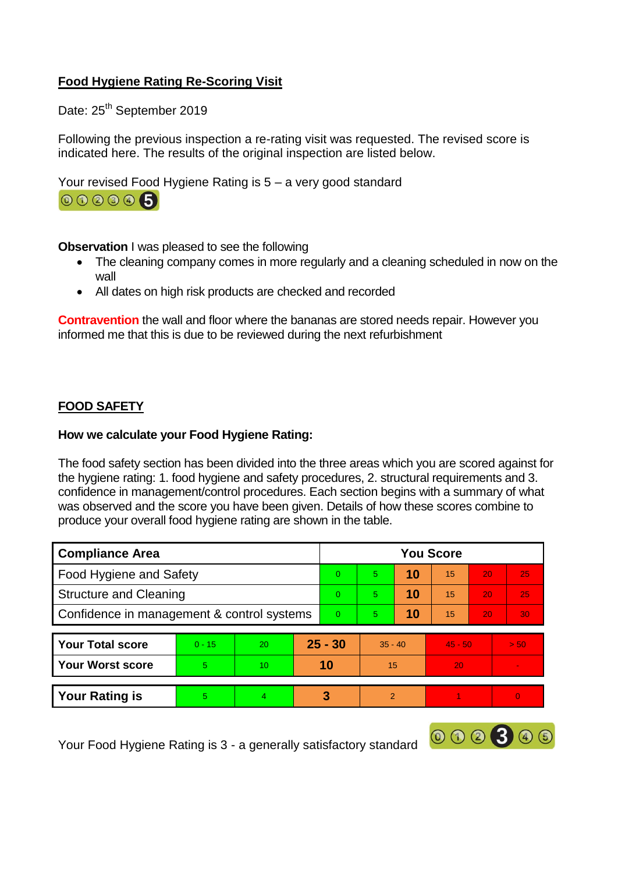# **Food Hygiene Rating Re-Scoring Visit**

Date: 25<sup>th</sup> September 2019

Following the previous inspection a re-rating visit was requested. The revised score is indicated here. The results of the original inspection are listed below.

Your revised Food Hygiene Rating is 5 – a very good standard



**Observation** I was pleased to see the following

- The cleaning company comes in more regularly and a cleaning scheduled in now on the wall
- All dates on high risk products are checked and recorded

**Contravention** the wall and floor where the bananas are stored needs repair. However you informed me that this is due to be reviewed during the next refurbishment

# **FOOD SAFETY**

## **How we calculate your Food Hygiene Rating:**

The food safety section has been divided into the three areas which you are scored against for the hygiene rating: 1. food hygiene and safety procedures, 2. structural requirements and 3. confidence in management/control procedures. Each section begins with a summary of what was observed and the score you have been given. Details of how these scores combine to produce your overall food hygiene rating are shown in the table.

| <b>Compliance Area</b>                     |          |                 |          | <b>You Score</b> |                |           |           |    |      |  |  |
|--------------------------------------------|----------|-----------------|----------|------------------|----------------|-----------|-----------|----|------|--|--|
| <b>Food Hygiene and Safety</b>             |          |                 |          | $\Omega$         | 5              | 10        | 15        | 20 | 25   |  |  |
| <b>Structure and Cleaning</b>              |          |                 | $\Omega$ | 5                | 10             | 15        | 20        | 25 |      |  |  |
| Confidence in management & control systems |          |                 | $\Omega$ | 5                | 10             | 15        | 20        | 30 |      |  |  |
|                                            |          |                 |          |                  |                |           |           |    |      |  |  |
| <b>Your Total score</b>                    | $0 - 15$ | <b>20</b>       |          | $25 - 30$        |                | $35 - 40$ | $45 - 50$ |    | > 50 |  |  |
| <b>Your Worst score</b>                    | 5        | 10 <sup>1</sup> | 10       |                  | 15             |           | 20        |    |      |  |  |
|                                            |          |                 |          |                  |                |           |           |    |      |  |  |
| <b>Your Rating is</b>                      | 5        |                 |          | 3                | $\overline{2}$ |           |           |    |      |  |  |

000300

Your Food Hygiene Rating is 3 - a generally satisfactory standard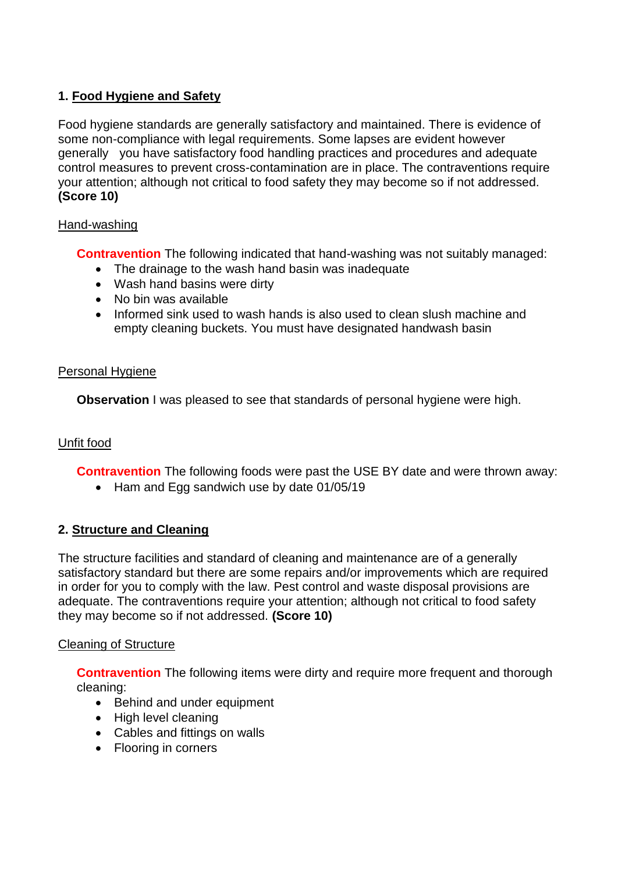# **1. Food Hygiene and Safety**

Food hygiene standards are generally satisfactory and maintained. There is evidence of some non-compliance with legal requirements. Some lapses are evident however generally you have satisfactory food handling practices and procedures and adequate control measures to prevent cross-contamination are in place. The contraventions require your attention; although not critical to food safety they may become so if not addressed. **(Score 10)**

## Hand-washing

**Contravention** The following indicated that hand-washing was not suitably managed:

- The drainage to the wash hand basin was inadequate
- Wash hand basins were dirty
- No bin was available
- Informed sink used to wash hands is also used to clean slush machine and empty cleaning buckets. You must have designated handwash basin

## Personal Hygiene

**Observation** I was pleased to see that standards of personal hygiene were high.

# Unfit food

**Contravention** The following foods were past the USE BY date and were thrown away:

• Ham and Egg sandwich use by date 01/05/19

# **2. Structure and Cleaning**

The structure facilities and standard of cleaning and maintenance are of a generally satisfactory standard but there are some repairs and/or improvements which are required in order for you to comply with the law. Pest control and waste disposal provisions are adequate. The contraventions require your attention; although not critical to food safety they may become so if not addressed. **(Score 10)**

# Cleaning of Structure

**Contravention** The following items were dirty and require more frequent and thorough cleaning:

- Behind and under equipment
- High level cleaning
- Cables and fittings on walls
- Flooring in corners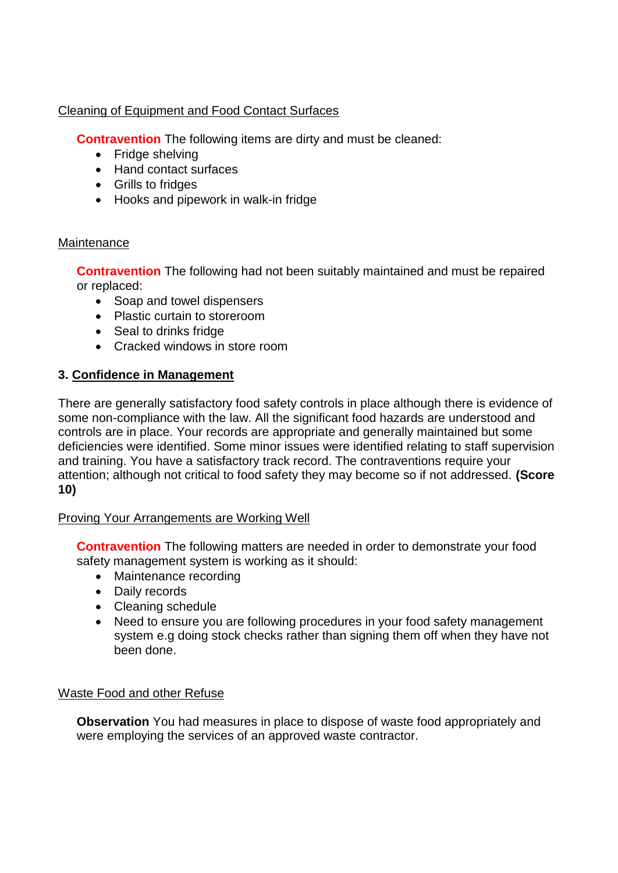Cleaning of Equipment and Food Contact Surfaces

**Contravention** The following items are dirty and must be cleaned:

- Fridge shelving
- Hand contact surfaces
- Grills to fridges
- Hooks and pipework in walk-in fridge

#### **Maintenance**

**Contravention** The following had not been suitably maintained and must be repaired or replaced:

- Soap and towel dispensers
- Plastic curtain to storeroom
- Seal to drinks fridge
- Cracked windows in store room

# **3. Confidence in Management**

There are generally satisfactory food safety controls in place although there is evidence of some non-compliance with the law. All the significant food hazards are understood and controls are in place. Your records are appropriate and generally maintained but some deficiencies were identified. Some minor issues were identified relating to staff supervision and training. You have a satisfactory track record. The contraventions require your attention; although not critical to food safety they may become so if not addressed. **(Score 10)**

# Proving Your Arrangements are Working Well

**Contravention** The following matters are needed in order to demonstrate your food safety management system is working as it should:

- Maintenance recording
- Daily records
- Cleaning schedule
- Need to ensure you are following procedures in your food safety management system e.g doing stock checks rather than signing them off when they have not been done.

#### Waste Food and other Refuse

**Observation** You had measures in place to dispose of waste food appropriately and were employing the services of an approved waste contractor.